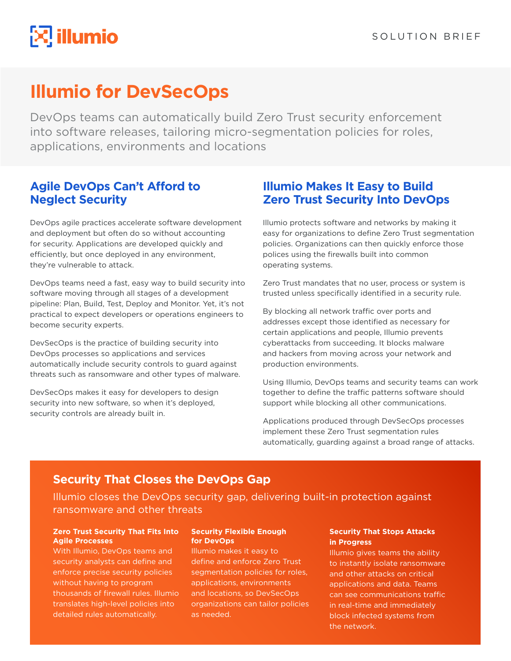# $\mathbb{R}$  illumio

## **Illumio for DevSecOps**

DevOps teams can automatically build Zero Trust security enforcement into software releases, tailoring micro-segmentation policies for roles, applications, environments and locations

## **Agile DevOps Can't Afford to Neglect Security**

DevOps agile practices accelerate software development and deployment but often do so without accounting for security. Applications are developed quickly and efficiently, but once deployed in any environment, they're vulnerable to attack.

DevOps teams need a fast, easy way to build security into software moving through all stages of a development pipeline: Plan, Build, Test, Deploy and Monitor. Yet, it's not practical to expect developers or operations engineers to become security experts.

DevSecOps is the practice of building security into DevOps processes so applications and services automatically include security controls to guard against threats such as ransomware and other types of malware.

DevSecOps makes it easy for developers to design security into new software, so when it's deployed, security controls are already built in.

## **Illumio Makes It Easy to Build Zero Trust Security Into DevOps**

Illumio protects software and networks by making it easy for organizations to define Zero Trust segmentation policies. Organizations can then quickly enforce those polices using the firewalls built into common operating systems.

Zero Trust mandates that no user, process or system is trusted unless specifically identified in a security rule.

By blocking all network traffic over ports and addresses except those identified as necessary for certain applications and people, Illumio prevents cyberattacks from succeeding. It blocks malware and hackers from moving across your network and production environments.

Using Illumio, DevOps teams and security teams can work together to define the traffic patterns software should support while blocking all other communications.

Applications produced through DevSecOps processes implement these Zero Trust segmentation rules automatically, guarding against a broad range of attacks.

## **Security That Closes the DevOps Gap**

Illumio closes the DevOps security gap, delivering built-in protection against ransomware and other threats

#### **Zero Trust Security That Fits Into Agile Processes**

With Illumio, DevOps teams and security analysts can define and enforce precise security policies without having to program thousands of firewall rules. Illumio translates high-level policies into detailed rules automatically.

#### **Security Flexible Enough for DevOps**

Illumio makes it easy to define and enforce Zero Trust segmentation policies for roles, applications, environments and locations, so DevSecOps organizations can tailor policies as needed.

#### **Security That Stops Attacks in Progress**

Illumio gives teams the ability to instantly isolate ransomware and other attacks on critical applications and data. Teams can see communications traffic in real-time and immediately block infected systems from the network.